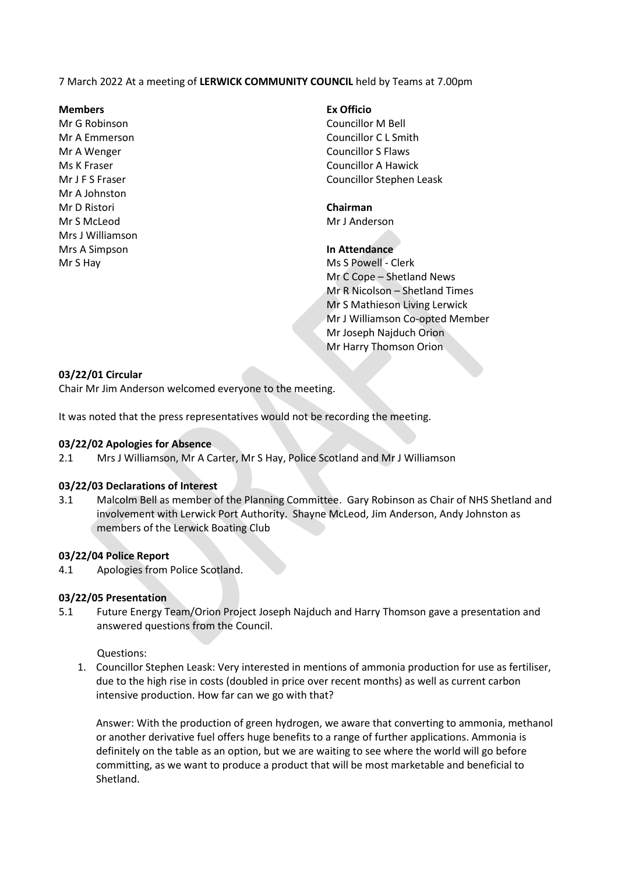7 March 2022 At a meeting of **LERWICK COMMUNITY COUNCIL** held by Teams at 7.00pm

#### **Members Ex Officio**

Mr G Robinson Councillor M Bell Mr A Johnston Mr D Ristori **Chairman** Mr S McLeod Mr J Anderson Mrs J Williamson Mrs A Simpson **In Attendance** Mr S Hay Ms S Powell - Clerk

Mr A Emmerson Councillor C L Smith Mr A Wenger North Councillor S Flaws Ms K Fraser Councillor A Hawick Mr J F S Fraser Councillor Stephen Leask

Mr C Cope – Shetland News Mr R Nicolson – Shetland Times Mr S Mathieson Living Lerwick Mr J Williamson Co-opted Member Mr Joseph Najduch Orion Mr Harry Thomson Orion

## **03/22/01 Circular**

Chair Mr Jim Anderson welcomed everyone to the meeting.

It was noted that the press representatives would not be recording the meeting.

#### **03/22/02 Apologies for Absence**

2.1 Mrs J Williamson, Mr A Carter, Mr S Hay, Police Scotland and Mr J Williamson

#### **03/22/03 Declarations of Interest**

3.1 Malcolm Bell as member of the Planning Committee. Gary Robinson as Chair of NHS Shetland and involvement with Lerwick Port Authority. Shayne McLeod, Jim Anderson, Andy Johnston as members of the Lerwick Boating Club

#### **03/22/04 Police Report**

4.1 Apologies from Police Scotland.

#### **03/22/05 Presentation**

5.1 Future Energy Team/Orion Project Joseph Najduch and Harry Thomson gave a presentation and answered questions from the Council.

#### Questions:

1. Councillor Stephen Leask: Very interested in mentions of ammonia production for use as fertiliser, due to the high rise in costs (doubled in price over recent months) as well as current carbon intensive production. How far can we go with that?

Answer: With the production of green hydrogen, we aware that converting to ammonia, methanol or another derivative fuel offers huge benefits to a range of further applications. Ammonia is definitely on the table as an option, but we are waiting to see where the world will go before committing, as we want to produce a product that will be most marketable and beneficial to Shetland.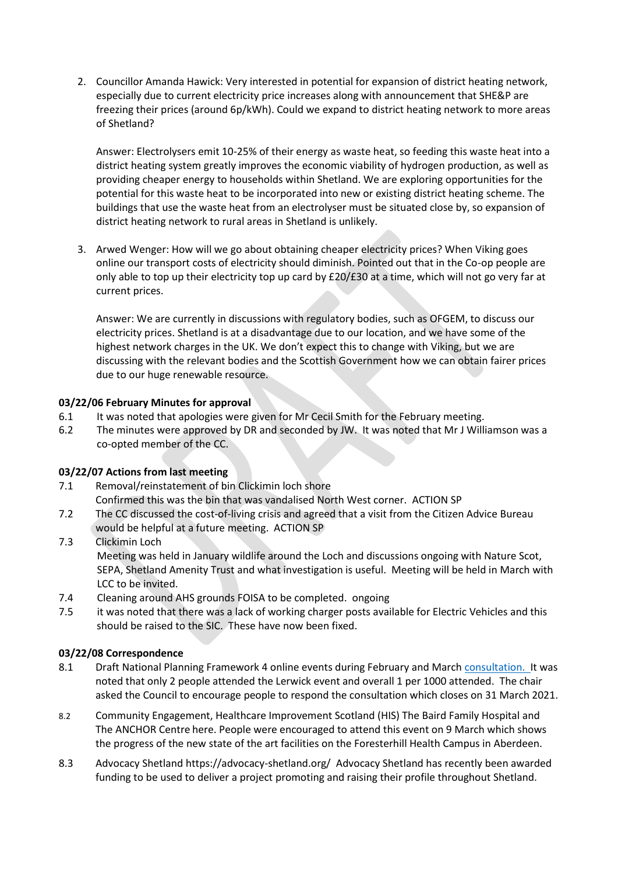2. Councillor Amanda Hawick: Very interested in potential for expansion of district heating network, especially due to current electricity price increases along with announcement that SHE&P are freezing their prices (around 6p/kWh). Could we expand to district heating network to more areas of Shetland?

Answer: Electrolysers emit 10-25% of their energy as waste heat, so feeding this waste heat into a district heating system greatly improves the economic viability of hydrogen production, as well as providing cheaper energy to households within Shetland. We are exploring opportunities for the potential for this waste heat to be incorporated into new or existing district heating scheme. The buildings that use the waste heat from an electrolyser must be situated close by, so expansion of district heating network to rural areas in Shetland is unlikely.

3. Arwed Wenger: How will we go about obtaining cheaper electricity prices? When Viking goes online our transport costs of electricity should diminish. Pointed out that in the Co-op people are only able to top up their electricity top up card by £20/£30 at a time, which will not go very far at current prices.

Answer: We are currently in discussions with regulatory bodies, such as OFGEM, to discuss our electricity prices. Shetland is at a disadvantage due to our location, and we have some of the highest network charges in the UK. We don't expect this to change with Viking, but we are discussing with the relevant bodies and the Scottish Government how we can obtain fairer prices due to our huge renewable resource.

## **03/22/06 February Minutes for approval**

- 6.1 It was noted that apologies were given for Mr Cecil Smith for the February meeting.
- 6.2 The minutes were approved by DR and seconded by JW. It was noted that Mr J Williamson was a co-opted member of the CC.

# **03/22/07 Actions from last meeting**

- 7.1 Removal/reinstatement of bin Clickimin loch shore
- Confirmed this was the bin that was vandalised North West corner. ACTION SP
- 7.2 The CC discussed the cost-of-living crisis and agreed that a visit from the Citizen Advice Bureau would be helpful at a future meeting. ACTION SP
- 7.3 Clickimin Loch Meeting was held in January wildlife around the Loch and discussions ongoing with Nature Scot, SEPA, Shetland Amenity Trust and what investigation is useful. Meeting will be held in March with LCC to be invited.
- 7.4 Cleaning around AHS grounds FOISA to be completed. ongoing
- 7.5 it was noted that there was a lack of working charger posts available for Electric Vehicles and this should be raised to the SIC. These have now been fixed.

## **03/22/08 Correspondence**

- 8.1 Draft National Planning Framework 4 online events during February and Marc[h consultation.](https://scot.us20.list-manage.com/track/click?u=feffb8d81365d935d19ae1c3d&id=6e53185063&e=6a66588697) It was noted that only 2 people attended the Lerwick event and overall 1 per 1000 attended. The chair asked the Council to encourage people to respond the consultation which closes on 31 March 2021.
- 8.2 Community Engagement, Healthcare Improvement Scotland (HIS) The Baird Family Hospital and The ANCHOR Centre [here.](https://www.hisengage.scot/events-list/9-mar-2022-webinar/) People were encouraged to attend this event on 9 March which shows the progress of the new state of the art facilities on the Foresterhill Health Campus in Aberdeen.
- 8.3 Advocacy Shetland<https://advocacy-shetland.org/>Advocacy Shetland has recently been awarded funding to be used to deliver a project promoting and raising their profile throughout Shetland.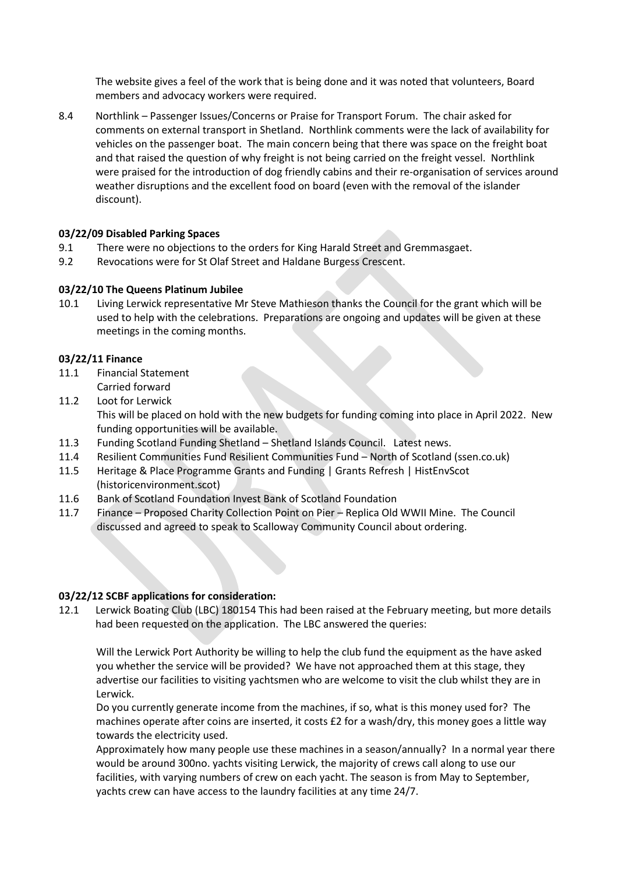The website gives a feel of the work that is being done and it was noted that volunteers, Board members and advocacy workers were required.

8.4 Northlink – Passenger Issues/Concerns or Praise for Transport Forum. The chair asked for comments on external transport in Shetland. Northlink comments were the lack of availability for vehicles on the passenger boat. The main concern being that there was space on the freight boat and that raised the question of why freight is not being carried on the freight vessel. Northlink were praised for the introduction of dog friendly cabins and their re-organisation of services around weather disruptions and the excellent food on board (even with the removal of the islander discount).

## **03/22/09 Disabled Parking Spaces**

- 9.1 There were no objections to the orders for King Harald Street and Gremmasgaet.
- 9.2 Revocations were for St Olaf Street and Haldane Burgess Crescent.

## **03/22/10 The Queens Platinum Jubilee**

10.1 Living Lerwick representative Mr Steve Mathieson thanks the Council for the grant which will be used to help with the celebrations. Preparations are ongoing and updates will be given at these meetings in the coming months.

## **03/22/11 Finance**

- 11.1 Financial Statement Carried forward
- 11.2 Loot for Lerwick This will be placed on hold with the new budgets for funding coming into place in April 2022. New funding opportunities will be available.
- 11.3 Funding Scotland Funding Shetland [Shetland Islands Council.](https://www.shetland.gov.uk/fundingshetland) Latest news.
- 11.4 Resilient Communities Fund Resilient Communities Fund [North of Scotland \(ssen.co.uk\)](https://www.ssen.co.uk/RCF/Scotland/)
- 11.5 Heritage & Place Programm[e Grants and Funding | Grants Refresh | HistEnvScot](https://www.historicenvironment.scot/grants-and-funding/grants-refresh/)  [\(historicenvironment.scot\)](https://www.historicenvironment.scot/grants-and-funding/grants-refresh/)
- 11.6 Bank of Scotland Foundation Invest [Bank of Scotland Foundation](https://bankofscotlandfoundation.org/funding-programmes/invest)
- 11.7 Finance Proposed Charity Collection Point on Pier Replica Old WWII Mine. The Council discussed and agreed to speak to Scalloway Community Council about ordering.

## **03/22/12 SCBF applications for consideration:**

12.1 Lerwick Boating Club (LBC) 180154 This had been raised at the February meeting, but more details had been requested on the application. The LBC answered the queries:

Will the Lerwick Port Authority be willing to help the club fund the equipment as the have asked you whether the service will be provided? We have not approached them at this stage, they advertise our facilities to visiting yachtsmen who are welcome to visit the club whilst they are in Lerwick.

Do you currently generate income from the machines, if so, what is this money used for? The machines operate after coins are inserted, it costs £2 for a wash/dry, this money goes a little way towards the electricity used.

Approximately how many people use these machines in a season/annually? In a normal year there would be around 300no. yachts visiting Lerwick, the majority of crews call along to use our facilities, with varying numbers of crew on each yacht. The season is from May to September, yachts crew can have access to the laundry facilities at any time 24/7.